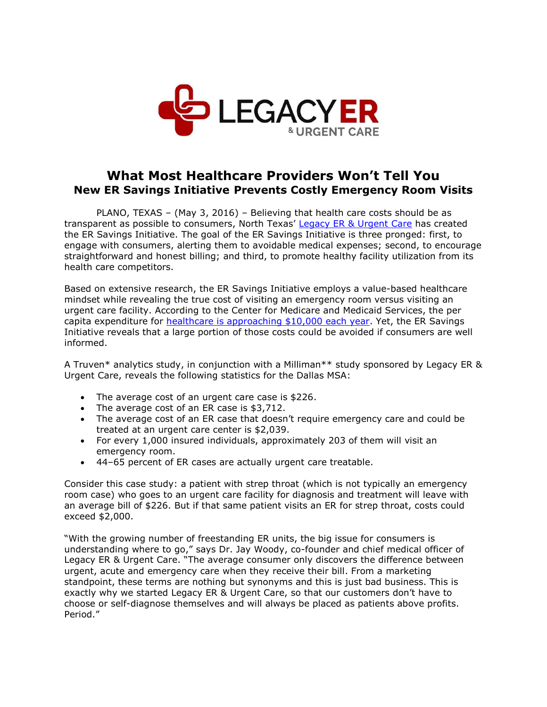

## **What Most Healthcare Providers Won't Tell You New ER Savings Initiative Prevents Costly Emergency Room Visits**

PLANO, TEXAS – (May 3, 2016) – Believing that health care costs should be as transparent as possible to consumers, North Texas' [Legacy ER & Urgent Care](http://www.legacyer.com/) has created the ER Savings Initiative. The goal of the ER Savings Initiative is three pronged: first, to engage with consumers, alerting them to avoidable medical expenses; second, to encourage straightforward and honest billing; and third, to promote healthy facility utilization from its health care competitors.

Based on extensive research, the ER Savings Initiative employs a value-based healthcare mindset while revealing the true cost of visiting an emergency room versus visiting an urgent care facility. According to the Center for Medicare and Medicaid Services, the per capita expenditure for [healthcare is approaching \\$10,000 each year.](https://www.cms.gov/Research-Statistics-Data-and-Systems/Statistics-Trends-and-Reports/NationalHealthExpendData/NationalHealthAccountsProjected.html) Yet, the ER Savings Initiative reveals that a large portion of those costs could be avoided if consumers are well informed.

A Truven\* analytics study, in conjunction with a Milliman\*\* study sponsored by Legacy ER & Urgent Care, reveals the following statistics for the Dallas MSA:

- The average cost of an urgent care case is \$226.
- The average cost of an ER case is \$3,712.
- The average cost of an ER case that doesn't require emergency care and could be treated at an urgent care center is \$2,039.
- For every 1,000 insured individuals, approximately 203 of them will visit an emergency room.
- 44–65 percent of ER cases are actually urgent care treatable.

Consider this case study: a patient with strep throat (which is not typically an emergency room case) who goes to an urgent care facility for diagnosis and treatment will leave with an average bill of \$226. But if that same patient visits an ER for strep throat, costs could exceed \$2,000.

"With the growing number of freestanding ER units, the big issue for consumers is understanding where to go," says Dr. Jay Woody, co-founder and chief medical officer of Legacy ER & Urgent Care. "The average consumer only discovers the difference between urgent, acute and emergency care when they receive their bill. From a marketing standpoint, these terms are nothing but synonyms and this is just bad business. This is exactly why we started Legacy ER & Urgent Care, so that our customers don't have to choose or self-diagnose themselves and will always be placed as patients above profits. Period."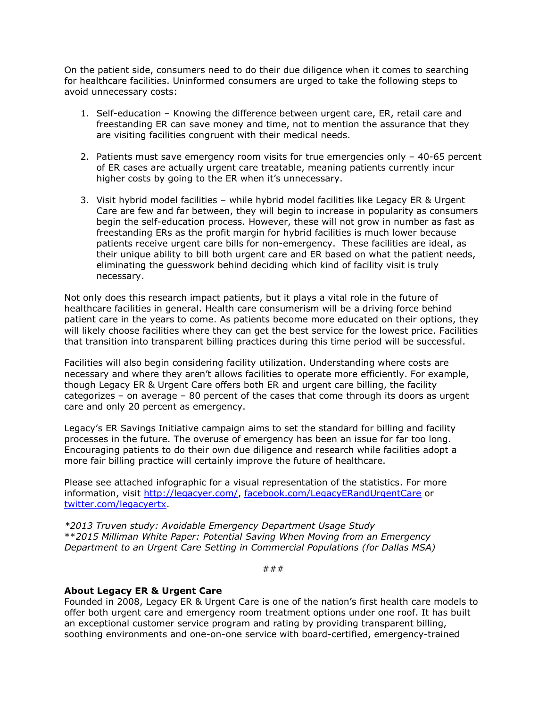On the patient side, consumers need to do their due diligence when it comes to searching for healthcare facilities. Uninformed consumers are urged to take the following steps to avoid unnecessary costs:

- 1. Self-education Knowing the difference between urgent care, ER, retail care and freestanding ER can save money and time, not to mention the assurance that they are visiting facilities congruent with their medical needs.
- 2. Patients must save emergency room visits for true emergencies only 40-65 percent of ER cases are actually urgent care treatable, meaning patients currently incur higher costs by going to the ER when it's unnecessary.
- 3. Visit hybrid model facilities while hybrid model facilities like Legacy ER & Urgent Care are few and far between, they will begin to increase in popularity as consumers begin the self-education process. However, these will not grow in number as fast as freestanding ERs as the profit margin for hybrid facilities is much lower because patients receive urgent care bills for non-emergency. These facilities are ideal, as their unique ability to bill both urgent care and ER based on what the patient needs, eliminating the guesswork behind deciding which kind of facility visit is truly necessary.

Not only does this research impact patients, but it plays a vital role in the future of healthcare facilities in general. Health care consumerism will be a driving force behind patient care in the years to come. As patients become more educated on their options, they will likely choose facilities where they can get the best service for the lowest price. Facilities that transition into transparent billing practices during this time period will be successful.

Facilities will also begin considering facility utilization. Understanding where costs are necessary and where they aren't allows facilities to operate more efficiently. For example, though Legacy ER & Urgent Care offers both ER and urgent care billing, the facility categorizes – on average – 80 percent of the cases that come through its doors as urgent care and only 20 percent as emergency.

Legacy's ER Savings Initiative campaign aims to set the standard for billing and facility processes in the future. The overuse of emergency has been an issue for far too long. Encouraging patients to do their own due diligence and research while facilities adopt a more fair billing practice will certainly improve the future of healthcare.

Please see attached infographic for a visual representation of the statistics. For more information, visit [http://legacyer.com/,](http://legacyer.com/) [facebook.com/LegacyERandUrgentCare](file:///C:/Users/Account%20Executive%201/AppData/Local/Microsoft/Windows/INetCache/Content.Outlook/VMF19TQ4/facebook.com/LegacyERandUrgentCare) or [twitter.com/legacyertx.](https://twitter.com/legacyertx)

*\*2013 Truven study: Avoidable Emergency Department Usage Study* \*\**2015 Milliman White Paper: Potential Saving When Moving from an Emergency Department to an Urgent Care Setting in Commercial Populations (for Dallas MSA)*

###

## **About Legacy ER & Urgent Care**

Founded in 2008, Legacy ER & Urgent Care is one of the nation's first health care models to offer both urgent care and emergency room treatment options under one roof. It has built an exceptional customer service program and rating by providing transparent billing, soothing environments and one-on-one service with board-certified, emergency-trained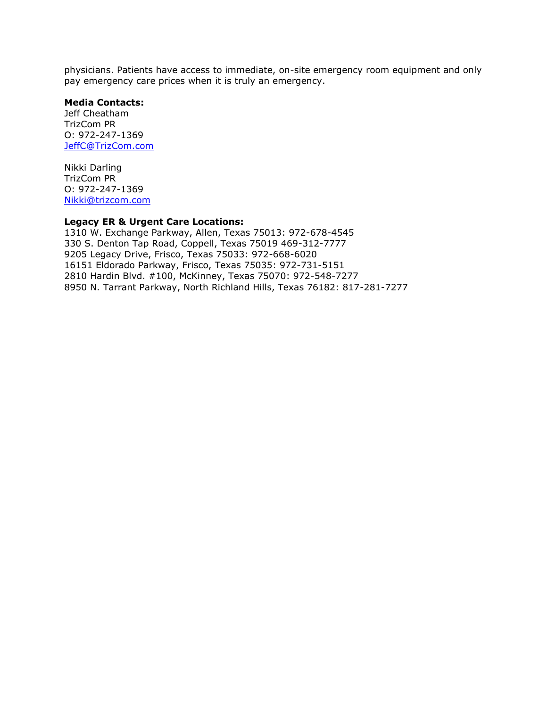physicians. Patients have access to immediate, on-site emergency room equipment and only pay emergency care prices when it is truly an emergency.

## **Media Contacts:**

Jeff Cheatham TrizCom PR O: 972-247-1369 [JeffC@TrizCom.com](mailto:JeffC@TrizCom.com)

Nikki Darling TrizCom PR O: 972-247-1369 [Nikki@trizcom.com](file:///C:/Users/Account%20Executive%201/AppData/Local/Microsoft/Windows/INetCache/Content.Outlook/VMF19TQ4/Nikki@trizcom.com)

## **Legacy ER & Urgent Care Locations:**

1310 W. Exchange Parkway, Allen, Texas 75013: 972-678-4545 330 S. Denton Tap Road, Coppell, Texas 75019 469-312-7777 9205 Legacy Drive, Frisco, Texas 75033: 972-668-6020 16151 Eldorado Parkway, Frisco, Texas 75035: 972-731-5151 2810 Hardin Blvd. #100, McKinney, Texas 75070: 972-548-7277 8950 N. Tarrant Parkway, North Richland Hills, Texas 76182: 817-281-7277